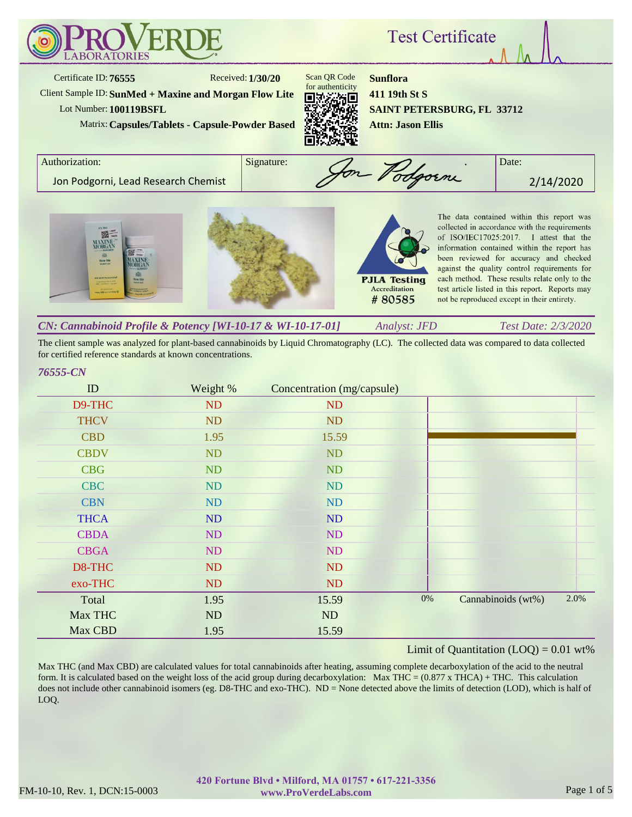

The client sample was analyzed for plant-based cannabinoids by Liquid Chromatography (LC). The collected data was compared to data collected for certified reference standards at known concentrations.

#### *76555-CN*

| ID          | Weight %  | Concentration (mg/capsule) |       |                    |      |
|-------------|-----------|----------------------------|-------|--------------------|------|
| D9-THC      | ND        | ND                         |       |                    |      |
| <b>THCV</b> | ND        | <b>ND</b>                  |       |                    |      |
| <b>CBD</b>  | 1.95      | 15.59                      |       |                    |      |
| <b>CBDV</b> | <b>ND</b> | <b>ND</b>                  |       |                    |      |
| <b>CBG</b>  | <b>ND</b> | <b>ND</b>                  |       |                    |      |
| <b>CBC</b>  | ND        | ND                         |       |                    |      |
| <b>CBN</b>  | ND        | ND                         |       |                    |      |
| <b>THCA</b> | ND        | ND                         |       |                    |      |
| <b>CBDA</b> | ND        | ND                         |       |                    |      |
| <b>CBGA</b> | ND        | ND                         |       |                    |      |
| D8-THC      | ND        | <b>ND</b>                  |       |                    |      |
| exo-THC     | ND        | <b>ND</b>                  |       |                    |      |
| Total       | 1.95      | 15.59                      | $0\%$ | Cannabinoids (wt%) | 2.0% |
| Max THC     | ND        | ND                         |       |                    |      |
| Max CBD     | 1.95      | 15.59                      |       |                    |      |

## Limit of Quantitation  $(LOQ) = 0.01$  wt%

Max THC (and Max CBD) are calculated values for total cannabinoids after heating, assuming complete decarboxylation of the acid to the neutral form. It is calculated based on the weight loss of the acid group during decarboxylation: Max THC =  $(0.877 \times THCA) + THC$ . This calculation does not include other cannabinoid isomers (eg. D8-THC and exo-THC). ND = None detected above the limits of detection (LOD), which is half of LOQ.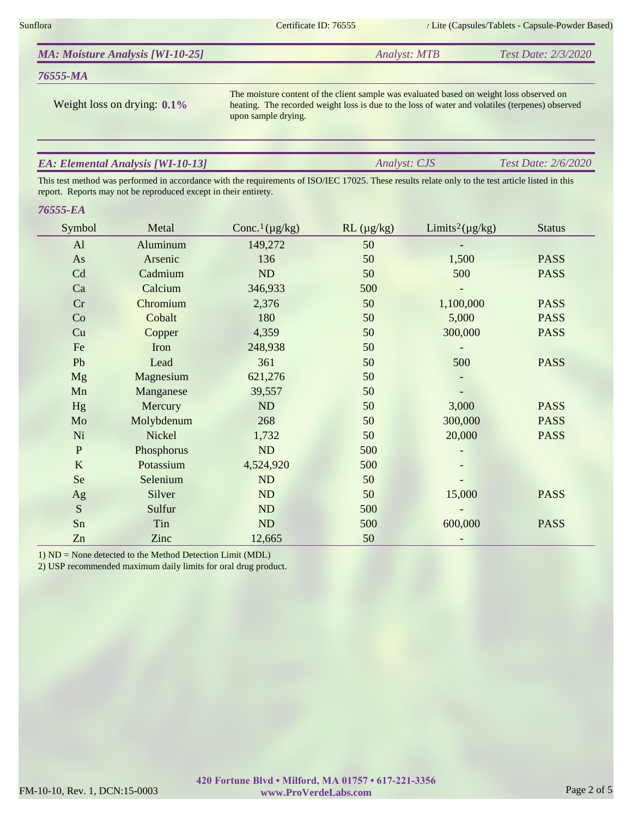Sunflora Certificate ID: 76555 Certificate ID: 76555 Lite (Capsules/Tablets - Capsule-Powder Based)

*Analyst: CJS Test Date: 2/6/2020*

|  | <b>MA: Moisture Analysis [WI-10-25]</b> | <i>Analyst: MTB</i> | Test Date: 2/3/2020 |
|--|-----------------------------------------|---------------------|---------------------|
|--|-----------------------------------------|---------------------|---------------------|

# *76555-MA*

Weight loss on drying: **0.1%**

The moisture content of the client sample was evaluated based on weight loss observed on heating. The recorded weight loss is due to the loss of water and volatiles (terpenes) observed upon sample drying.

# *EA: Elemental Analysis [WI-10-13]*

This test method was performed in accordance with the requirements of ISO/IEC 17025. These results relate only to the test article listed in this report. Reports may not be reproduced except in their entirety.

## *76555-EA*

| Symbol         | Metal      | Conc. <sup>1</sup> ( $\mu$ g/kg) | $RL$ ( $\mu$ g/kg) | Limits <sup>2</sup> ( $\mu$ g/kg) | <b>Status</b> |
|----------------|------------|----------------------------------|--------------------|-----------------------------------|---------------|
| AI             | Aluminum   | 149,272                          | 50                 |                                   |               |
| As             | Arsenic    | 136                              | 50                 | 1,500                             | <b>PASS</b>   |
| Cd             | Cadmium    | ND                               | 50                 | 500                               | <b>PASS</b>   |
| Ca             | Calcium    | 346,933                          | 500                |                                   |               |
| Cr             | Chromium   | 2,376                            | 50                 | 1,100,000                         | <b>PASS</b>   |
| Co             | Cobalt     | 180                              | 50                 | 5,000                             | <b>PASS</b>   |
| Cu             | Copper     | 4,359                            | 50                 | 300,000                           | <b>PASS</b>   |
| Fe             | Iron       | 248,938                          | 50                 |                                   |               |
| Pb             | Lead       | 361                              | 50                 | 500                               | <b>PASS</b>   |
| <b>Mg</b>      | Magnesium  | 621,276                          | 50                 |                                   |               |
| Mn             | Manganese  | 39,557                           | 50                 |                                   |               |
| Hg             | Mercury    | ND                               | 50                 | 3,000                             | <b>PASS</b>   |
| Mo             | Molybdenum | 268                              | 50                 | 300,000                           | <b>PASS</b>   |
| Ni             | Nickel     | 1,732                            | 50                 | 20,000                            | <b>PASS</b>   |
| $\overline{P}$ | Phosphorus | ND                               | 500                |                                   |               |
| $\bf K$        | Potassium  | 4,524,920                        | 500                |                                   |               |
| <b>Se</b>      | Selenium   | ND                               | 50                 |                                   |               |
| Ag             | Silver     | ND                               | 50                 | 15,000                            | <b>PASS</b>   |
| S              | Sulfur     | ND                               | 500                |                                   |               |
| Sn             | Tin        | ND                               | 500                | 600,000                           | <b>PASS</b>   |
| Zn             | Zinc       | 12,665                           | 50                 |                                   |               |

1) ND = None detected to the Method Detection Limit (MDL)

2) USP recommended maximum daily limits for oral drug product.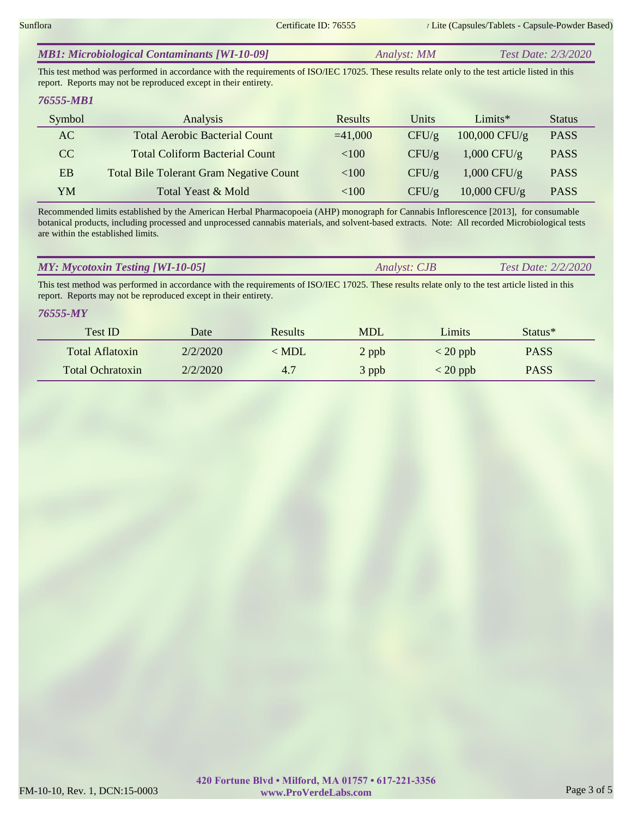| Analyst: MM | Test Date: 2/3/2020 |
|-------------|---------------------|
|             |                     |

This test method was performed in accordance with the requirements of ISO/IEC 17025. These results relate only to the test article listed in this report. Reports may not be reproduced except in their entirety.

## *76555-MB1*

| Symbol | Analysis                                       | Results   | Units | $Limits*$      | <b>Status</b> |
|--------|------------------------------------------------|-----------|-------|----------------|---------------|
| AC     | <b>Total Aerobic Bacterial Count</b>           | $=41,000$ | CFU/g | 100,000 CFU/g  | <b>PASS</b>   |
| CC     | <b>Total Coliform Bacterial Count</b>          | $<$ 100   | CFU/g | $1,000$ CFU/g  | <b>PASS</b>   |
| EB     | <b>Total Bile Tolerant Gram Negative Count</b> | < 100     | CFU/g | $1,000$ CFU/g  | <b>PASS</b>   |
| YM     | Total Yeast & Mold                             | <100      | CFU/g | $10,000$ CFU/g | <b>PASS</b>   |

Recommended limits established by the American Herbal Pharmacopoeia (AHP) monograph for Cannabis Inflorescence [2013], for consumable botanical products, including processed and unprocessed cannabis materials, and solvent-based extracts. Note: All recorded Microbiological tests are within the established limits.

|  | <b>MY: Mycotoxin Testing [WI-10-05]</b> | <i>Analyst: CJB</i> | Test Date: $2/2/2020$ |
|--|-----------------------------------------|---------------------|-----------------------|
|--|-----------------------------------------|---------------------|-----------------------|

This test method was performed in accordance with the requirements of ISO/IEC 17025. These results relate only to the test article listed in this report. Reports may not be reproduced except in their entirety.

## *76555-MY*

| <b>Test ID</b>          | Date     | <b>Results</b> | <b>MDL</b> | Limits     | Status <sup>*</sup> |
|-------------------------|----------|----------------|------------|------------|---------------------|
| Total Aflatoxin         | 2/2/2020 | $<$ MDL        | 2 ppb      | $<$ 20 ppb | <b>PASS</b>         |
| <b>Total Ochratoxin</b> | 2/2/2020 | 4.7            | 3 ppb      | $<$ 20 ppb | <b>PASS</b>         |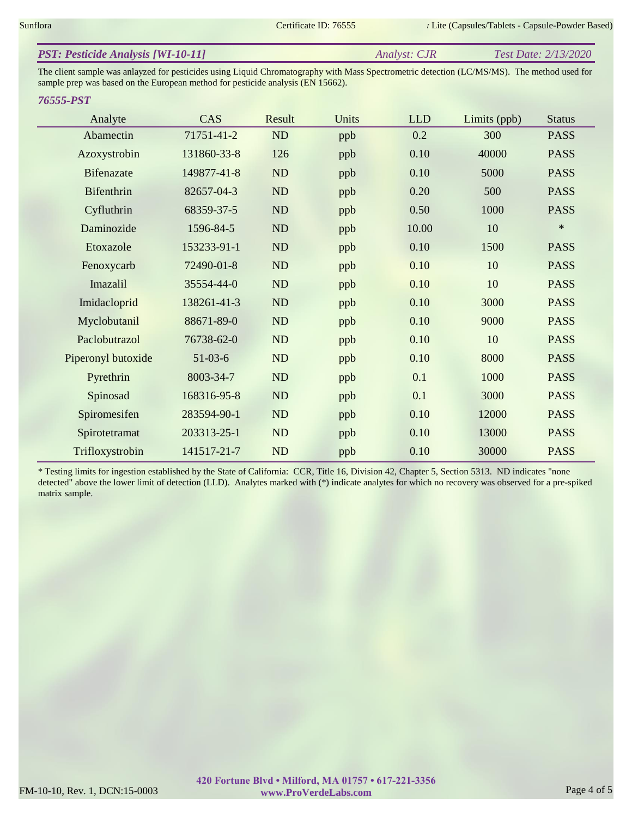| <b>PST: Pesticide Analysis [WI-10-11]</b> | Analyst: CJR | Test Date: 2/13/2020 |
|-------------------------------------------|--------------|----------------------|
|                                           |              |                      |

The client sample was anlayzed for pesticides using Liquid Chromatography with Mass Spectrometric detection (LC/MS/MS). The method used for sample prep was based on the European method for pesticide analysis (EN 15662).

#### *76555-PST*

| Analyte            | CAS         | Result    | Units | <b>LLD</b> | Limits (ppb) | <b>Status</b> |
|--------------------|-------------|-----------|-------|------------|--------------|---------------|
| Abamectin          | 71751-41-2  | ND        | ppb   | 0.2        | 300          | <b>PASS</b>   |
| Azoxystrobin       | 131860-33-8 | 126       | ppb   | 0.10       | 40000        | <b>PASS</b>   |
| <b>Bifenazate</b>  | 149877-41-8 | ND        | ppb   | 0.10       | 5000         | <b>PASS</b>   |
| Bifenthrin         | 82657-04-3  | ND        | ppb   | 0.20       | 500          | <b>PASS</b>   |
| Cyfluthrin         | 68359-37-5  | ND        | ppb   | 0.50       | 1000         | <b>PASS</b>   |
| Daminozide         | 1596-84-5   | ND        | ppb   | 10.00      | 10           | $\ast$        |
| Etoxazole          | 153233-91-1 | ND        | ppb   | 0.10       | 1500         | <b>PASS</b>   |
| Fenoxycarb         | 72490-01-8  | ND        | ppb   | 0.10       | 10           | <b>PASS</b>   |
| Imazalil           | 35554-44-0  | ND        | ppb   | 0.10       | 10           | <b>PASS</b>   |
| Imidacloprid       | 138261-41-3 | <b>ND</b> | ppb   | 0.10       | 3000         | <b>PASS</b>   |
| Myclobutanil       | 88671-89-0  | ND        | ppb   | 0.10       | 9000         | <b>PASS</b>   |
| Paclobutrazol      | 76738-62-0  | <b>ND</b> | ppb   | 0.10       | 10           | <b>PASS</b>   |
| Piperonyl butoxide | $51-03-6$   | ND        | ppb   | 0.10       | 8000         | <b>PASS</b>   |
| Pyrethrin          | 8003-34-7   | ND        | ppb   | 0.1        | 1000         | <b>PASS</b>   |
| Spinosad           | 168316-95-8 | ND        | ppb   | 0.1        | 3000         | <b>PASS</b>   |
| Spiromesifen       | 283594-90-1 | ND        | ppb   | 0.10       | 12000        | <b>PASS</b>   |
| Spirotetramat      | 203313-25-1 | ND        | ppb   | 0.10       | 13000        | <b>PASS</b>   |
| Trifloxystrobin    | 141517-21-7 | ND        | ppb   | 0.10       | 30000        | <b>PASS</b>   |

\* Testing limits for ingestion established by the State of California: CCR, Title 16, Division 42, Chapter 5, Section 5313. ND indicates "none detected" above the lower limit of detection (LLD). Analytes marked with (\*) indicate analytes for which no recovery was observed for a pre-spiked matrix sample.